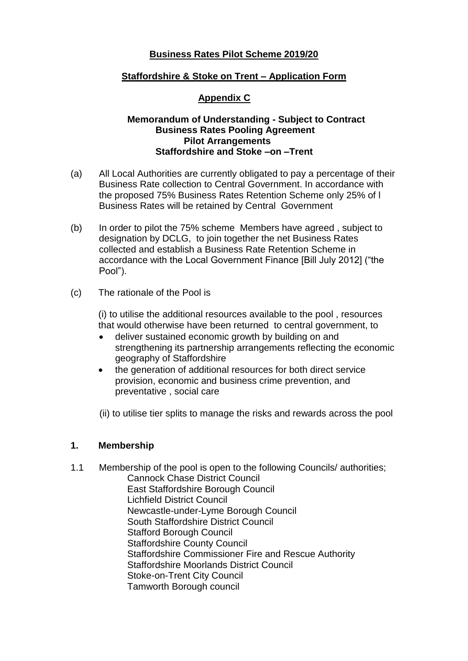## **Business Rates Pilot Scheme 2019/20**

## **Staffordshire & Stoke on Trent – Application Form**

# **Appendix C**

### **Memorandum of Understanding - Subject to Contract Business Rates Pooling Agreement Pilot Arrangements Staffordshire and Stoke –on –Trent**

- (a) All Local Authorities are currently obligated to pay a percentage of their Business Rate collection to Central Government. In accordance with the proposed 75% Business Rates Retention Scheme only 25% of l Business Rates will be retained by Central Government
- (b) In order to pilot the 75% scheme Members have agreed , subject to designation by DCLG, to join together the net Business Rates collected and establish a Business Rate Retention Scheme in accordance with the Local Government Finance [Bill July 2012] ("the Pool").
- (c) The rationale of the Pool is

(i) to utilise the additional resources available to the pool , resources that would otherwise have been returned to central government, to

- deliver sustained economic growth by building on and strengthening its partnership arrangements reflecting the economic geography of Staffordshire
- the generation of additional resources for both direct service provision, economic and business crime prevention, and preventative , social care
- (ii) to utilise tier splits to manage the risks and rewards across the pool

### **1. Membership**

1.1 Membership of the pool is open to the following Councils/ authorities; Cannock Chase District Council East Staffordshire Borough Council Lichfield District Council Newcastle-under-Lyme Borough Council South Staffordshire District Council Stafford Borough Council Staffordshire County Council Staffordshire Commissioner Fire and Rescue Authority Staffordshire Moorlands District Council Stoke-on-Trent City Council Tamworth Borough council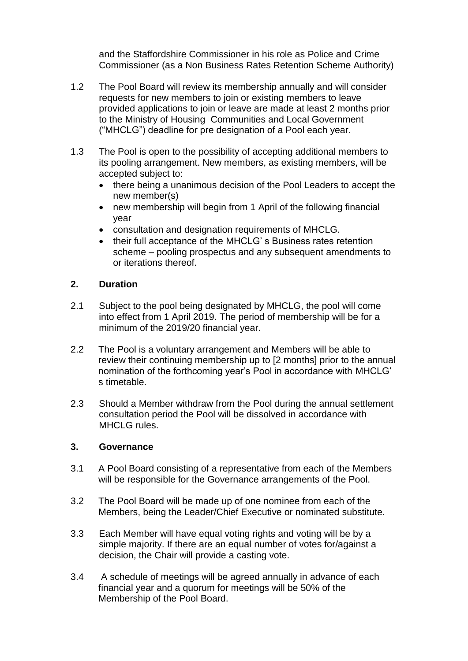and the Staffordshire Commissioner in his role as Police and Crime Commissioner (as a Non Business Rates Retention Scheme Authority)

- 1.2 The Pool Board will review its membership annually and will consider requests for new members to join or existing members to leave provided applications to join or leave are made at least 2 months prior to the Ministry of Housing Communities and Local Government ("MHCLG") deadline for pre designation of a Pool each year.
- 1.3 The Pool is open to the possibility of accepting additional members to its pooling arrangement. New members, as existing members, will be accepted subject to:
	- there being a unanimous decision of the Pool Leaders to accept the new member(s)
	- new membership will begin from 1 April of the following financial year
	- consultation and designation requirements of MHCLG.
	- their full acceptance of the MHCLG's Business rates retention scheme – pooling prospectus and any subsequent amendments to or iterations thereof.

## **2. Duration**

- 2.1 Subject to the pool being designated by MHCLG, the pool will come into effect from 1 April 2019. The period of membership will be for a minimum of the 2019/20 financial year.
- 2.2 The Pool is a voluntary arrangement and Members will be able to review their continuing membership up to [2 months] prior to the annual nomination of the forthcoming year's Pool in accordance with MHCLG' s timetable.
- 2.3 Should a Member withdraw from the Pool during the annual settlement consultation period the Pool will be dissolved in accordance with MHCLG rules.

### **3. Governance**

- 3.1 A Pool Board consisting of a representative from each of the Members will be responsible for the Governance arrangements of the Pool.
- 3.2 The Pool Board will be made up of one nominee from each of the Members, being the Leader/Chief Executive or nominated substitute.
- 3.3 Each Member will have equal voting rights and voting will be by a simple majority. If there are an equal number of votes for/against a decision, the Chair will provide a casting vote.
- 3.4 A schedule of meetings will be agreed annually in advance of each financial year and a quorum for meetings will be 50% of the Membership of the Pool Board.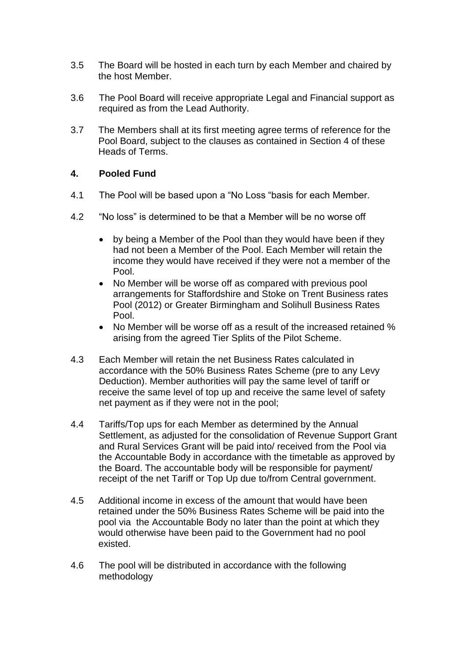- 3.5 The Board will be hosted in each turn by each Member and chaired by the host Member.
- 3.6 The Pool Board will receive appropriate Legal and Financial support as required as from the Lead Authority.
- 3.7 The Members shall at its first meeting agree terms of reference for the Pool Board, subject to the clauses as contained in Section 4 of these Heads of Terms.

# **4. Pooled Fund**

- 4.1 The Pool will be based upon a "No Loss "basis for each Member.
- 4.2 "No loss" is determined to be that a Member will be no worse off
	- by being a Member of the Pool than they would have been if they had not been a Member of the Pool. Each Member will retain the income they would have received if they were not a member of the Pool.
	- No Member will be worse off as compared with previous pool arrangements for Staffordshire and Stoke on Trent Business rates Pool (2012) or Greater Birmingham and Solihull Business Rates Pool.
	- No Member will be worse off as a result of the increased retained % arising from the agreed Tier Splits of the Pilot Scheme.
- 4.3 Each Member will retain the net Business Rates calculated in accordance with the 50% Business Rates Scheme (pre to any Levy Deduction). Member authorities will pay the same level of tariff or receive the same level of top up and receive the same level of safety net payment as if they were not in the pool;
- 4.4 Tariffs/Top ups for each Member as determined by the Annual Settlement, as adjusted for the consolidation of Revenue Support Grant and Rural Services Grant will be paid into/ received from the Pool via the Accountable Body in accordance with the timetable as approved by the Board. The accountable body will be responsible for payment/ receipt of the net Tariff or Top Up due to/from Central government.
- 4.5 Additional income in excess of the amount that would have been retained under the 50% Business Rates Scheme will be paid into the pool via the Accountable Body no later than the point at which they would otherwise have been paid to the Government had no pool existed.
- 4.6 The pool will be distributed in accordance with the following methodology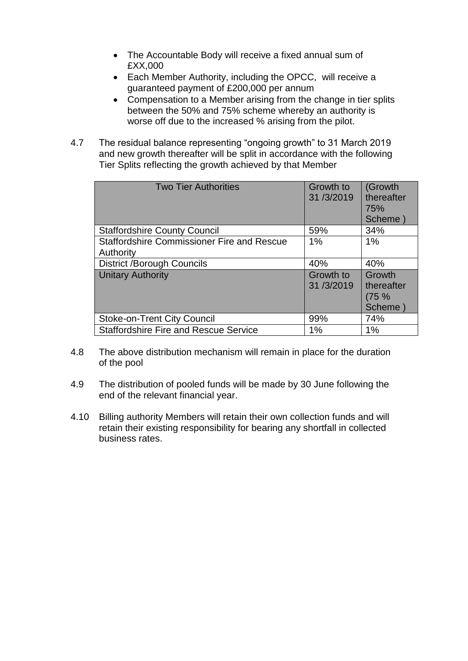- The Accountable Body will receive a fixed annual sum of £XX,000
- Each Member Authority, including the OPCC, will receive a guaranteed payment of £200,000 per annum
- Compensation to a Member arising from the change in tier splits between the 50% and 75% scheme whereby an authority is worse off due to the increased % arising from the pilot.
- 4.7 The residual balance representing "ongoing growth" to 31 March 2019 and new growth thereafter will be split in accordance with the following Tier Splits reflecting the growth achieved by that Member

| <b>Two Tier Authorities</b>                                    | Growth to<br>31/3/2019 | (Growth<br>thereafter<br>75%<br>Scheme)  |
|----------------------------------------------------------------|------------------------|------------------------------------------|
| <b>Staffordshire County Council</b>                            | 59%                    | 34%                                      |
| <b>Staffordshire Commissioner Fire and Rescue</b><br>Authority | 1%                     | 1%                                       |
| <b>District /Borough Councils</b>                              | 40%                    | 40%                                      |
| <b>Unitary Authority</b>                                       | Growth to<br>31/3/2019 | Growth<br>thereafter<br>(75 %<br>Scheme) |
| <b>Stoke-on-Trent City Council</b>                             | 99%                    | 74%                                      |
| <b>Staffordshire Fire and Rescue Service</b>                   | 1%                     | 1%                                       |

- 4.8 The above distribution mechanism will remain in place for the duration of the pool
- 4.9 The distribution of pooled funds will be made by 30 June following the end of the relevant financial year.
- 4.10 Billing authority Members will retain their own collection funds and will retain their existing responsibility for bearing any shortfall in collected business rates.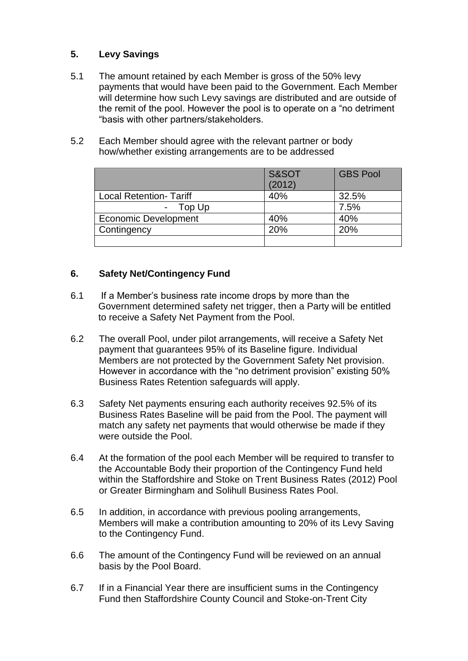# **5. Levy Savings**

- 5.1 The amount retained by each Member is gross of the 50% levy payments that would have been paid to the Government. Each Member will determine how such Levy savings are distributed and are outside of the remit of the pool. However the pool is to operate on a "no detriment "basis with other partners/stakeholders.
- 5.2 Each Member should agree with the relevant partner or body how/whether existing arrangements are to be addressed

|                                    | S&SOT<br>(2012) | <b>GBS Pool</b> |
|------------------------------------|-----------------|-----------------|
| <b>Local Retention- Tariff</b>     | 40%             | 32.5%           |
| Top Up<br>$\overline{\phantom{0}}$ |                 | 7.5%            |
| <b>Economic Development</b>        | 40%             | 40%             |
| Contingency                        | 20%             | 20%             |
|                                    |                 |                 |

## **6. Safety Net/Contingency Fund**

- 6.1 If a Member's business rate income drops by more than the Government determined safety net trigger, then a Party will be entitled to receive a Safety Net Payment from the Pool.
- 6.2 The overall Pool, under pilot arrangements, will receive a Safety Net payment that guarantees 95% of its Baseline figure. Individual Members are not protected by the Government Safety Net provision. However in accordance with the "no detriment provision" existing 50% Business Rates Retention safeguards will apply.
- 6.3 Safety Net payments ensuring each authority receives 92.5% of its Business Rates Baseline will be paid from the Pool. The payment will match any safety net payments that would otherwise be made if they were outside the Pool.
- 6.4 At the formation of the pool each Member will be required to transfer to the Accountable Body their proportion of the Contingency Fund held within the Staffordshire and Stoke on Trent Business Rates (2012) Pool or Greater Birmingham and Solihull Business Rates Pool.
- 6.5 In addition, in accordance with previous pooling arrangements, Members will make a contribution amounting to 20% of its Levy Saving to the Contingency Fund.
- 6.6 The amount of the Contingency Fund will be reviewed on an annual basis by the Pool Board.
- 6.7 If in a Financial Year there are insufficient sums in the Contingency Fund then Staffordshire County Council and Stoke-on-Trent City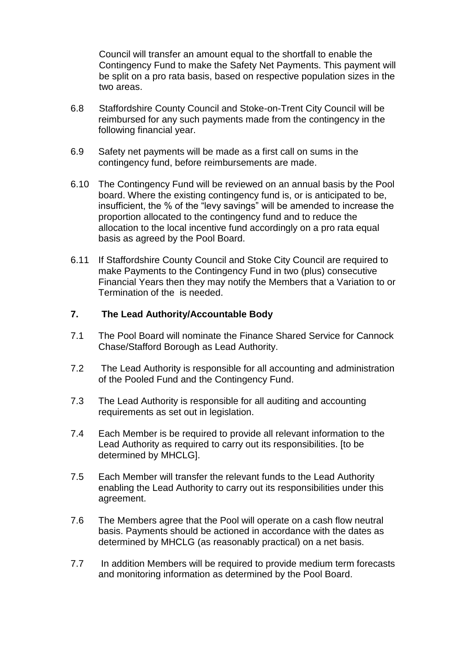Council will transfer an amount equal to the shortfall to enable the Contingency Fund to make the Safety Net Payments. This payment will be split on a pro rata basis, based on respective population sizes in the two areas.

- 6.8 Staffordshire County Council and Stoke-on-Trent City Council will be reimbursed for any such payments made from the contingency in the following financial year.
- 6.9 Safety net payments will be made as a first call on sums in the contingency fund, before reimbursements are made.
- 6.10 The Contingency Fund will be reviewed on an annual basis by the Pool board. Where the existing contingency fund is, or is anticipated to be, insufficient, the % of the "levy savings" will be amended to increase the proportion allocated to the contingency fund and to reduce the allocation to the local incentive fund accordingly on a pro rata equal basis as agreed by the Pool Board.
- 6.11 If Staffordshire County Council and Stoke City Council are required to make Payments to the Contingency Fund in two (plus) consecutive Financial Years then they may notify the Members that a Variation to or Termination of the is needed.

### **7. The Lead Authority/Accountable Body**

- 7.1 The Pool Board will nominate the Finance Shared Service for Cannock Chase/Stafford Borough as Lead Authority.
- 7.2 The Lead Authority is responsible for all accounting and administration of the Pooled Fund and the Contingency Fund.
- 7.3 The Lead Authority is responsible for all auditing and accounting requirements as set out in legislation.
- 7.4 Each Member is be required to provide all relevant information to the Lead Authority as required to carry out its responsibilities. [to be determined by MHCLG].
- 7.5 Each Member will transfer the relevant funds to the Lead Authority enabling the Lead Authority to carry out its responsibilities under this agreement.
- 7.6 The Members agree that the Pool will operate on a cash flow neutral basis. Payments should be actioned in accordance with the dates as determined by MHCLG (as reasonably practical) on a net basis.
- 7.7 In addition Members will be required to provide medium term forecasts and monitoring information as determined by the Pool Board.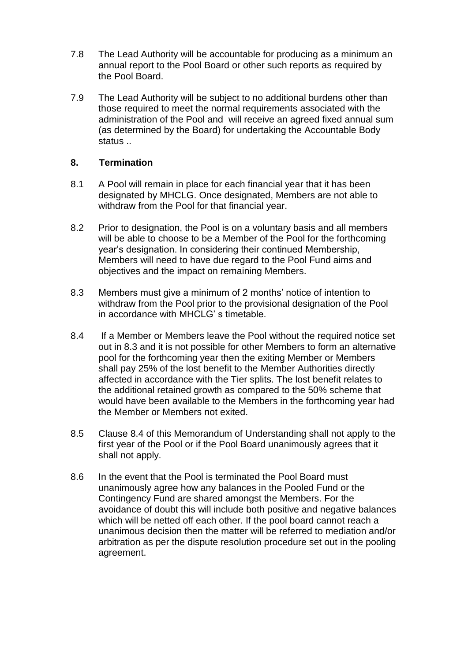- 7.8 The Lead Authority will be accountable for producing as a minimum an annual report to the Pool Board or other such reports as required by the Pool Board.
- 7.9 The Lead Authority will be subject to no additional burdens other than those required to meet the normal requirements associated with the administration of the Pool and will receive an agreed fixed annual sum (as determined by the Board) for undertaking the Accountable Body status ..

## **8. Termination**

- 8.1 A Pool will remain in place for each financial year that it has been designated by MHCLG. Once designated, Members are not able to withdraw from the Pool for that financial year.
- 8.2 Prior to designation, the Pool is on a voluntary basis and all members will be able to choose to be a Member of the Pool for the forthcoming year's designation. In considering their continued Membership, Members will need to have due regard to the Pool Fund aims and objectives and the impact on remaining Members.
- 8.3 Members must give a minimum of 2 months' notice of intention to withdraw from the Pool prior to the provisional designation of the Pool in accordance with MHCLG' s timetable.
- 8.4 If a Member or Members leave the Pool without the required notice set out in 8.3 and it is not possible for other Members to form an alternative pool for the forthcoming year then the exiting Member or Members shall pay 25% of the lost benefit to the Member Authorities directly affected in accordance with the Tier splits. The lost benefit relates to the additional retained growth as compared to the 50% scheme that would have been available to the Members in the forthcoming year had the Member or Members not exited.
- 8.5 Clause 8.4 of this Memorandum of Understanding shall not apply to the first year of the Pool or if the Pool Board unanimously agrees that it shall not apply.
- 8.6 In the event that the Pool is terminated the Pool Board must unanimously agree how any balances in the Pooled Fund or the Contingency Fund are shared amongst the Members. For the avoidance of doubt this will include both positive and negative balances which will be netted off each other. If the pool board cannot reach a unanimous decision then the matter will be referred to mediation and/or arbitration as per the dispute resolution procedure set out in the pooling agreement.